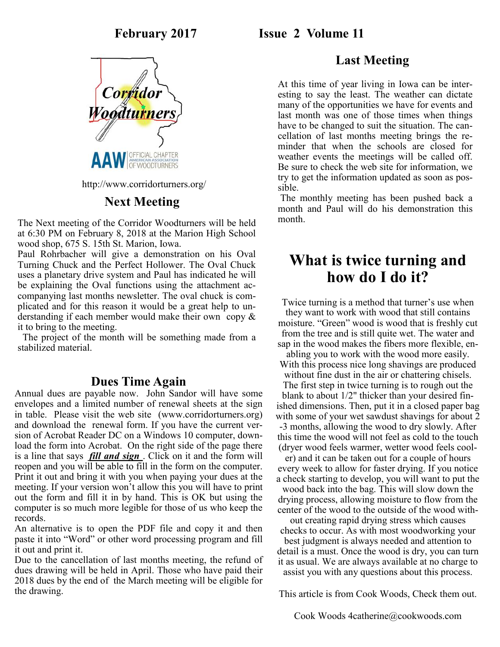

http://www.corridorturners.org/

## **Next Meeting**

The Next meeting of the Corridor Woodturners will be held at 6:30 PM on February 8, 2018 at the Marion High School wood shop, 675 S. 15th St. Marion, Iowa.

Paul Rohrbacher will give a demonstration on his Oval Turning Chuck and the Perfect Hollower. The Oval Chuck uses a planetary drive system and Paul has indicated he will be explaining the Oval functions using the attachment accompanying last months newsletter. The oval chuck is complicated and for this reason it would be a great help to understanding if each member would make their own copy & it to bring to the meeting.

 The project of the month will be something made from a stabilized material.

#### **Dues Time Again**

Annual dues are payable now. John Sandor will have some envelopes and a limited number of renewal sheets at the sign in table. Please visit the web site (www.corridorturners.org) and download the renewal form. If you have the current version of Acrobat Reader DC on a Windows 10 computer, download the form into Acrobat. On the right side of the page there is a line that says *fill and sign* . Click on it and the form will reopen and you will be able to fill in the form on the computer. Print it out and bring it with you when paying your dues at the meeting. If your version won't allow this you will have to print out the form and fill it in by hand. This is OK but using the computer is so much more legible for those of us who keep the records.

An alternative is to open the PDF file and copy it and then paste it into "Word" or other word processing program and fill it out and print it.

Due to the cancellation of last months meeting, the refund of dues drawing will be held in April. Those who have paid their 2018 dues by the end of the March meeting will be eligible for the drawing.

## **February 2017 Issue 2 Volume 11**

## **Last Meeting**

At this time of year living in Iowa can be interesting to say the least. The weather can dictate many of the opportunities we have for events and last month was one of those times when things have to be changed to suit the situation. The cancellation of last months meeting brings the reminder that when the schools are closed for weather events the meetings will be called off. Be sure to check the web site for information, we try to get the information updated as soon as possible.

The monthly meeting has been pushed back a month and Paul will do his demonstration this month.

# **What is twice turning and how do I do it?**

Twice turning is a method that turner's use when they want to work with wood that still contains moisture. "Green" wood is wood that is freshly cut from the tree and is still quite wet. The water and sap in the wood makes the fibers more flexible, en-

abling you to work with the wood more easily. With this process nice long shavings are produced without fine dust in the air or chattering chisels. The first step in twice turning is to rough out the blank to about 1/2" thicker than your desired finished dimensions. Then, put it in a closed paper bag with some of your wet sawdust shavings for about 2 -3 months, allowing the wood to dry slowly. After this time the wood will not feel as cold to the touch (dryer wood feels warmer, wetter wood feels cool-

er) and it can be taken out for a couple of hours every week to allow for faster drying. If you notice a check starting to develop, you will want to put the wood back into the bag. This will slow down the drying process, allowing moisture to flow from the center of the wood to the outside of the wood with-

out creating rapid drying stress which causes checks to occur. As with most woodworking your

best judgment is always needed and attention to detail is a must. Once the wood is dry, you can turn it as usual. We are always available at no charge to assist you with any questions about this process.

This article is from Cook Woods, Check them out.

Cook Woods 4catherine@cookwoods.com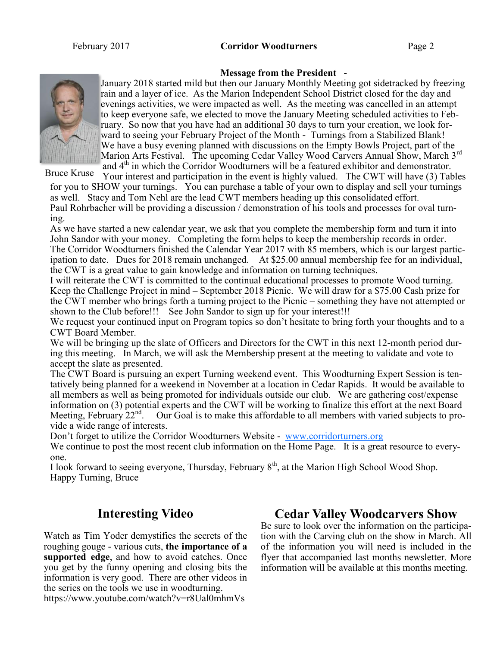

January 2018 started mild but then our January Monthly Meeting got sidetracked by freezing rain and a layer of ice. As the Marion Independent School District closed for the day and evenings activities, we were impacted as well. As the meeting was cancelled in an attempt to keep everyone safe, we elected to move the January Meeting scheduled activities to February. So now that you have had an additional 30 days to turn your creation, we look forward to seeing your February Project of the Month - Turnings from a Stabilized Blank! We have a busy evening planned with discussions on the Empty Bowls Project, part of the Marion Arts Festival. The upcoming Cedar Valley Wood Carvers Annual Show, March 3<sup>rd</sup> and  $4<sup>th</sup>$  in which the Corridor Woodturners will be a featured exhibitor and demonstrator.

**Message from the President** -

Bruce Kruse

Your interest and participation in the event is highly valued. The CWT will have (3) Tables for you to SHOW your turnings. You can purchase a table of your own to display and sell your turnings as well. Stacy and Tom Nehl are the lead CWT members heading up this consolidated effort. Paul Rohrbacher will be providing a discussion / demonstration of his tools and processes for oval turning.

As we have started a new calendar year, we ask that you complete the membership form and turn it into John Sandor with your money. Completing the form helps to keep the membership records in order. The Corridor Woodturners finished the Calendar Year 2017 with 85 members, which is our largest participation to date. Dues for 2018 remain unchanged. At \$25.00 annual membership fee for an individual, the CWT is a great value to gain knowledge and information on turning techniques.

I will reiterate the CWT is committed to the continual educational processes to promote Wood turning. Keep the Challenge Project in mind – September 2018 Picnic. We will draw for a \$75.00 Cash prize for the CWT member who brings forth a turning project to the Picnic – something they have not attempted or shown to the Club before!!! See John Sandor to sign up for your interest!!!

We request your continued input on Program topics so don't hesitate to bring forth your thoughts and to a CWT Board Member.

We will be bringing up the slate of Officers and Directors for the CWT in this next 12-month period during this meeting. In March, we will ask the Membership present at the meeting to validate and vote to accept the slate as presented.

The CWT Board is pursuing an expert Turning weekend event. This Woodturning Expert Session is tentatively being planned for a weekend in November at a location in Cedar Rapids. It would be available to all members as well as being promoted for individuals outside our club. We are gathering cost/expense information on (3) potential experts and the CWT will be working to finalize this effort at the next Board Meeting, February 22<sup>nd</sup>. Our Goal is to make this affordable to all members with varied subjects to provide a wide range of interests.

Don't forget to utilize the Corridor Woodturners Website - [www.corridorturners.org](http://www.corridorturners.org)

We continue to post the most recent club information on the Home Page. It is a great resource to everyone.

I look forward to seeing everyone, Thursday, February 8<sup>th</sup>, at the Marion High School Wood Shop. Happy Turning, Bruce

## **Interesting Video**

Watch as Tim Yoder demystifies the secrets of the roughing gouge - various cuts, **the importance of a supported edge**, and how to avoid catches. Once you get by the funny opening and closing bits the information is very good. There are other videos in the series on the tools we use in woodturning. https://www.youtube.com/watch?v=r8Ual0mhmVs

## **Cedar Valley Woodcarvers Show**

Be sure to look over the information on the participation with the Carving club on the show in March. All of the information you will need is included in the flyer that accompanied last months newsletter. More information will be available at this months meeting.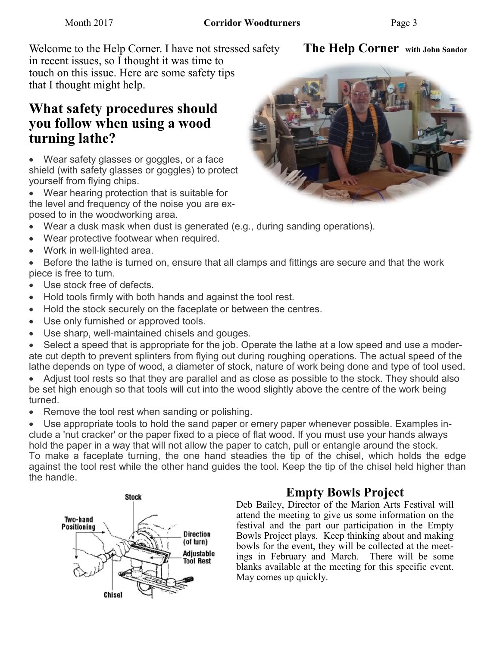**The Help Corner with John Sandor**

Welcome to the Help Corner. I have not stressed safety in recent issues, so I thought it was time to touch on this issue. Here are some safety tips that I thought might help.

# **What safety procedures should you follow when using a wood turning lathe?**

- Wear safety glasses or goggles, or a face shield (with safety glasses or goggles) to protect yourself from flying chips.
- Wear hearing protection that is suitable for the level and frequency of the noise you are exposed to in the woodworking area.
- Wear a dusk mask when dust is generated (e.g., during sanding operations).
- Wear protective footwear when required.
- Work in well-lighted area.

• Before the lathe is turned on, ensure that all clamps and fittings are secure and that the work piece is free to turn.

- Use stock free of defects.
- Hold tools firmly with both hands and against the tool rest.
- Hold the stock securely on the faceplate or between the centres.
- Use only furnished or approved tools.
- Use sharp, well-maintained chisels and gouges.

• Select a speed that is appropriate for the job. Operate the lathe at a low speed and use a moderate cut depth to prevent splinters from flying out during roughing operations. The actual speed of the lathe depends on type of wood, a diameter of stock, nature of work being done and type of tool used.

• Adjust tool rests so that they are parallel and as close as possible to the stock. They should also be set high enough so that tools will cut into the wood slightly above the centre of the work being turned.

• Remove the tool rest when sanding or polishing.

• Use appropriate tools to hold the sand paper or emery paper whenever possible. Examples include a 'nut cracker' or the paper fixed to a piece of flat wood. If you must use your hands always hold the paper in a way that will not allow the paper to catch, pull or entangle around the stock. To make a faceplate turning, the one hand steadies the tip of the chisel, which holds the edge against the tool rest while the other hand guides the tool. Keep the tip of the chisel held higher than the handle.



## **Empty Bowls Project**

Deb Bailey, Director of the Marion Arts Festival will attend the meeting to give us some information on the festival and the part our participation in the Empty Bowls Project plays. Keep thinking about and making bowls for the event, they will be collected at the meetings in February and March. There will be some blanks available at the meeting for this specific event. May comes up quickly.